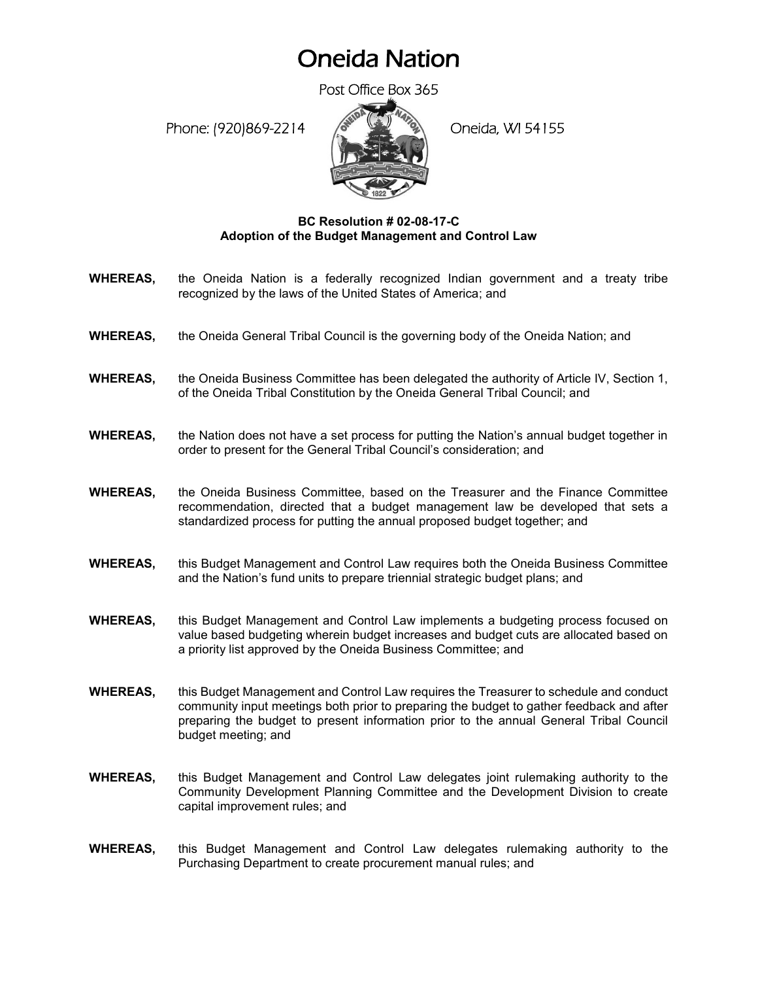## Oneida Nation

Post Office Box 365

Phone: (920)869-2214 (8 April 2) Oneida, WI 54155



## **BC Resolution # 02-08-17-C Adoption of the Budget Management and Control Law**

- **WHEREAS,** the Oneida Nation is a federally recognized Indian government and a treaty tribe recognized by the laws of the United States of America; and
- **WHEREAS,** the Oneida General Tribal Council is the governing body of the Oneida Nation; and
- **WHEREAS,** the Oneida Business Committee has been delegated the authority of Article IV, Section 1, of the Oneida Tribal Constitution by the Oneida General Tribal Council; and
- **WHEREAS,** the Nation does not have a set process for putting the Nation's annual budget together in order to present for the General Tribal Council's consideration; and
- **WHEREAS,** the Oneida Business Committee, based on the Treasurer and the Finance Committee recommendation, directed that a budget management law be developed that sets a standardized process for putting the annual proposed budget together; and
- **WHEREAS,** this Budget Management and Control Law requires both the Oneida Business Committee and the Nation's fund units to prepare triennial strategic budget plans; and
- **WHEREAS,** this Budget Management and Control Law implements a budgeting process focused on value based budgeting wherein budget increases and budget cuts are allocated based on a priority list approved by the Oneida Business Committee; and
- **WHEREAS,** this Budget Management and Control Law requires the Treasurer to schedule and conduct community input meetings both prior to preparing the budget to gather feedback and after preparing the budget to present information prior to the annual General Tribal Council budget meeting; and
- **WHEREAS,** this Budget Management and Control Law delegates joint rulemaking authority to the Community Development Planning Committee and the Development Division to create capital improvement rules; and
- **WHEREAS,** this Budget Management and Control Law delegates rulemaking authority to the Purchasing Department to create procurement manual rules; and